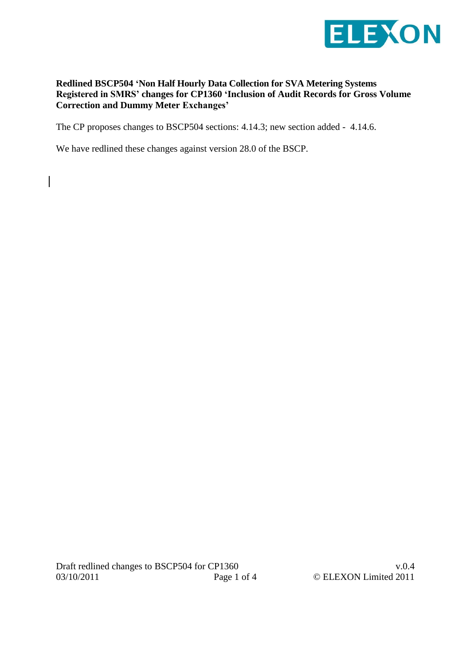

## **Redlined BSCP504 'Non Half Hourly Data Collection for SVA Metering Systems Registered in SMRS' changes for CP1360 'Inclusion of Audit Records for Gross Volume Correction and Dummy Meter Exchanges'**

The CP proposes changes to BSCP504 sections: 4.14.3; new section added - 4.14.6.

We have redlined these changes against version 28.0 of the BSCP.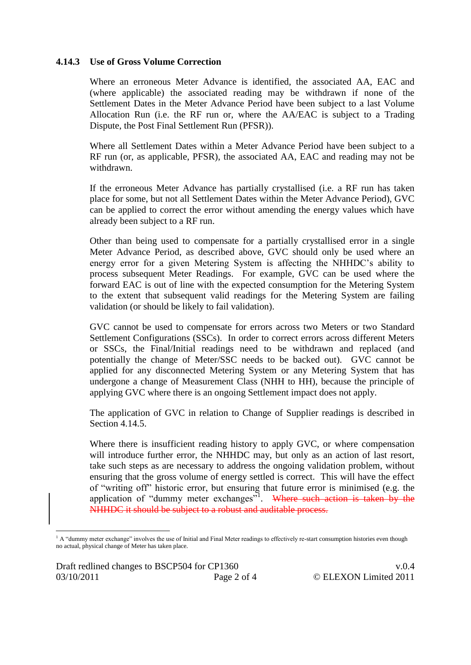## **4.14.3 Use of Gross Volume Correction**

Where an erroneous Meter Advance is identified, the associated AA, EAC and (where applicable) the associated reading may be withdrawn if none of the Settlement Dates in the Meter Advance Period have been subject to a last Volume Allocation Run (i.e. the RF run or, where the AA/EAC is subject to a Trading Dispute, the Post Final Settlement Run (PFSR)).

Where all Settlement Dates within a Meter Advance Period have been subject to a RF run (or, as applicable, PFSR), the associated AA, EAC and reading may not be withdrawn.

If the erroneous Meter Advance has partially crystallised (i.e. a RF run has taken place for some, but not all Settlement Dates within the Meter Advance Period), GVC can be applied to correct the error without amending the energy values which have already been subject to a RF run.

Other than being used to compensate for a partially crystallised error in a single Meter Advance Period, as described above, GVC should only be used where an energy error for a given Metering System is affecting the NHHDC's ability to process subsequent Meter Readings. For example, GVC can be used where the forward EAC is out of line with the expected consumption for the Metering System to the extent that subsequent valid readings for the Metering System are failing validation (or should be likely to fail validation).

GVC cannot be used to compensate for errors across two Meters or two Standard Settlement Configurations (SSCs). In order to correct errors across different Meters or SSCs, the Final/Initial readings need to be withdrawn and replaced (and potentially the change of Meter/SSC needs to be backed out). GVC cannot be applied for any disconnected Metering System or any Metering System that has undergone a change of Measurement Class (NHH to HH), because the principle of applying GVC where there is an ongoing Settlement impact does not apply.

The application of GVC in relation to Change of Supplier readings is described in Section 4.14.5.

Where there is insufficient reading history to apply GVC, or where compensation will introduce further error, the NHHDC may, but only as an action of last resort, take such steps as are necessary to address the ongoing validation problem, without ensuring that the gross volume of energy settled is correct. This will have the effect of "writing off" historic error, but ensuring that future error is minimised (e.g. the application of "dummy meter exchanges"<sup>1</sup>. Where such action is taken by the NHHDC it should be subject to a robust and auditable process.

 $\overline{a}$ 

<sup>&</sup>lt;sup>1</sup> A "dummy meter exchange" involves the use of Initial and Final Meter readings to effectively re-start consumption histories even though no actual, physical change of Meter has taken place.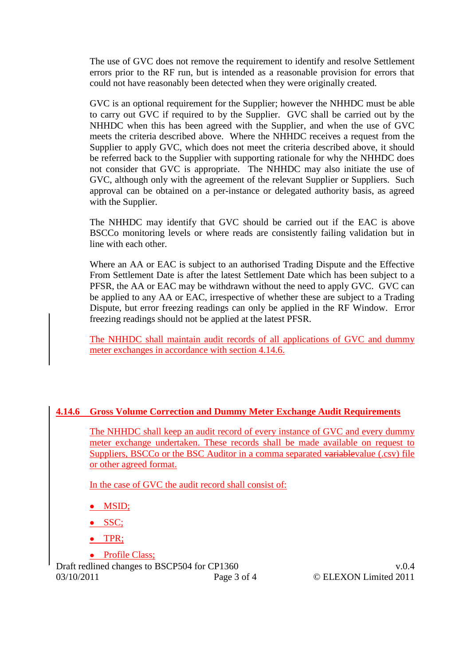The use of GVC does not remove the requirement to identify and resolve Settlement errors prior to the RF run, but is intended as a reasonable provision for errors that could not have reasonably been detected when they were originally created.

GVC is an optional requirement for the Supplier; however the NHHDC must be able to carry out GVC if required to by the Supplier. GVC shall be carried out by the NHHDC when this has been agreed with the Supplier, and when the use of GVC meets the criteria described above. Where the NHHDC receives a request from the Supplier to apply GVC, which does not meet the criteria described above, it should be referred back to the Supplier with supporting rationale for why the NHHDC does not consider that GVC is appropriate. The NHHDC may also initiate the use of GVC, although only with the agreement of the relevant Supplier or Suppliers. Such approval can be obtained on a per-instance or delegated authority basis, as agreed with the Supplier.

The NHHDC may identify that GVC should be carried out if the EAC is above BSCCo monitoring levels or where reads are consistently failing validation but in line with each other.

Where an AA or EAC is subject to an authorised Trading Dispute and the Effective From Settlement Date is after the latest Settlement Date which has been subject to a PFSR, the AA or EAC may be withdrawn without the need to apply GVC. GVC can be applied to any AA or EAC, irrespective of whether these are subject to a Trading Dispute, but error freezing readings can only be applied in the RF Window. Error freezing readings should not be applied at the latest PFSR.

The NHHDC shall maintain audit records of all applications of GVC and dummy meter exchanges in accordance with section 4.14.6.

## **4.14.6 Gross Volume Correction and Dummy Meter Exchange Audit Requirements**

The NHHDC shall keep an audit record of every instance of GVC and every dummy meter exchange undertaken. These records shall be made available on request to Suppliers, BSCCo or the BSC Auditor in a comma separated variablevalue (.csv) file or other agreed format.

In the case of GVC the audit record shall consist of:

- MSID;
- SSC;
- TPR;
- Profile Class;

Draft redlined changes to BSCP504 for CP1360 v.0.4 03/10/2011 Page 3 of 4 © ELEXON Limited 2011